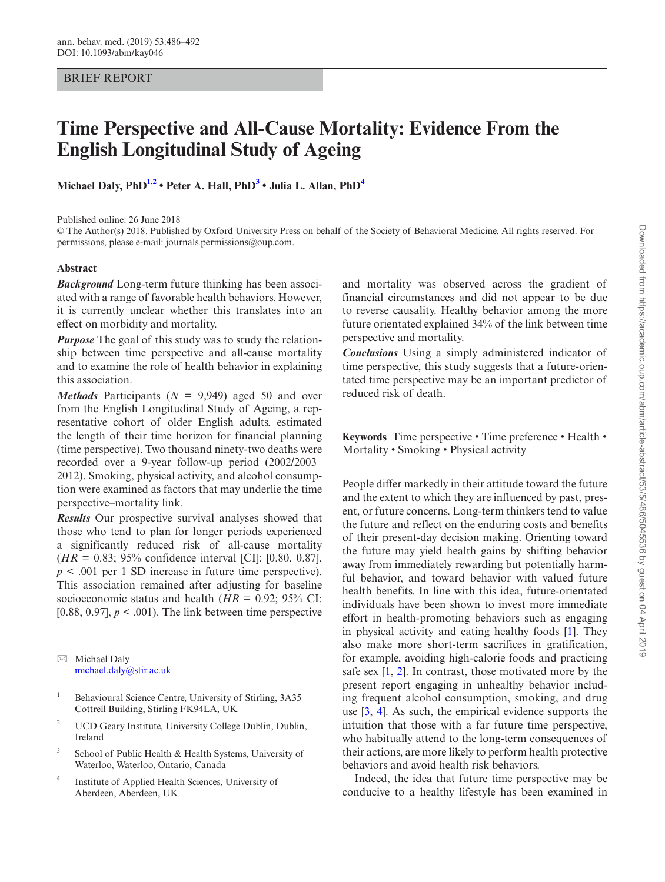# BRIEF REPORT

# **Time Perspective and All-Cause Mortality: Evidence From the English Longitudinal Study of Ageing**

**Michael Daly, PhD[1](#page-0-0),[2](#page-0-1) • Peter A. Hall, Ph[D3](#page-0-2) • Julia L. Allan, Ph[D4](#page-0-3)**

Published online: 26 June 2018

© The Author(s) 2018. Published by Oxford University Press on behalf of the Society of Behavioral Medicine. All rights reserved. For permissions, please e-mail: journals.permissions@oup.com.

### **Abstract**

*Background* Long-term future thinking has been associated with a range of favorable health behaviors. However, it is currently unclear whether this translates into an effect on morbidity and mortality.

*Purpose* The goal of this study was to study the relationship between time perspective and all-cause mortality and to examine the role of health behavior in explaining this association.

*Methods* Participants ( $N = 9,949$ ) aged 50 and over from the English Longitudinal Study of Ageing, a representative cohort of older English adults, estimated the length of their time horizon for financial planning (time perspective). Two thousand ninety-two deaths were recorded over a 9-year follow-up period (2002/2003– 2012). Smoking, physical activity, and alcohol consumption were examined as factors that may underlie the time perspective–mortality link.

*Results* Our prospective survival analyses showed that those who tend to plan for longer periods experienced a significantly reduced risk of all-cause mortality (*HR* = 0.83; 95% confidence interval [CI]: [0.80, 0.87], *p* < .001 per 1 SD increase in future time perspective). This association remained after adjusting for baseline socioeconomic status and health ( $HR = 0.92$ ; 95% CI: [0.88, 0.97],  $p < .001$ ). The link between time perspective

 $\boxtimes$  Michael Daly [michael.daly@stir.ac.uk](mailto:michael.daly@stir.ac.uk?subject=)

- <span id="page-0-0"></span><sup>1</sup> Behavioural Science Centre, University of Stirling, 3A35 Cottrell Building, Stirling FK94LA, UK
- <span id="page-0-1"></span><sup>2</sup> UCD Geary Institute, University College Dublin, Dublin, Ireland
- <span id="page-0-2"></span><sup>3</sup> School of Public Health & Health Systems, University of Waterloo, Waterloo, Ontario, Canada
- <span id="page-0-3"></span><sup>4</sup> Institute of Applied Health Sciences, University of Aberdeen, Aberdeen, UK

and mortality was observed across the gradient of financial circumstances and did not appear to be due to reverse causality. Healthy behavior among the more future orientated explained 34% of the link between time perspective and mortality.

*Conclusions* Using a simply administered indicator of time perspective, this study suggests that a future-orientated time perspective may be an important predictor of reduced risk of death.

**Keywords** Time perspective • Time preference • Health • Mortality • Smoking • Physical activity

People differ markedly in their attitude toward the future and the extent to which they are influenced by past, present, or future concerns. Long-term thinkers tend to value the future and reflect on the enduring costs and benefits of their present-day decision making. Orienting toward the future may yield health gains by shifting behavior away from immediately rewarding but potentially harmful behavior, and toward behavior with valued future health benefits. In line with this idea, future-orientated individuals have been shown to invest more immediate effort in health-promoting behaviors such as engaging in physical activity and eating healthy foods [\[1](#page-5-0)]. They also make more short-term sacrifices in gratification, for example, avoiding high-calorie foods and practicing safe sex [[1](#page-5-0), [2\]](#page-6-0). In contrast, those motivated more by the present report engaging in unhealthy behavior including frequent alcohol consumption, smoking, and drug use [\[3](#page-6-1), [4\]](#page-6-2). As such, the empirical evidence supports the intuition that those with a far future time perspective, who habitually attend to the long-term consequences of their actions, are more likely to perform health protective behaviors and avoid health risk behaviors.

Indeed, the idea that future time perspective may be conducive to a healthy lifestyle has been examined in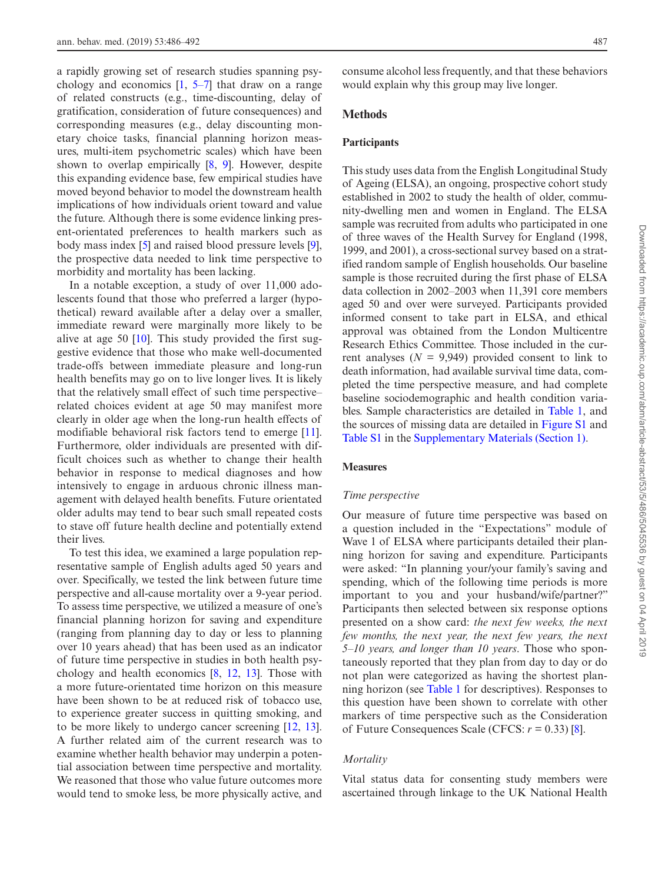a rapidly growing set of research studies spanning psychology and economics  $[1, 5-7]$  $[1, 5-7]$  that draw on a range of related constructs (e.g., time-discounting, delay of gratification, consideration of future consequences) and corresponding measures (e.g., delay discounting monetary choice tasks, financial planning horizon measures, multi-item psychometric scales) which have been shown to overlap empirically [\[8](#page-6-4), [9](#page-6-5)]. However, despite this expanding evidence base, few empirical studies have moved beyond behavior to model the downstream health implications of how individuals orient toward and value the future. Although there is some evidence linking present-orientated preferences to health markers such as body mass index [\[5](#page-6-3)] and raised blood pressure levels [\[9](#page-6-5)], the prospective data needed to link time perspective to morbidity and mortality has been lacking.

In a notable exception, a study of over 11,000 adolescents found that those who preferred a larger (hypothetical) reward available after a delay over a smaller, immediate reward were marginally more likely to be alive at age 50 [\[10\]](#page-6-6). This study provided the first suggestive evidence that those who make well-documented trade-offs between immediate pleasure and long-run health benefits may go on to live longer lives. It is likely that the relatively small effect of such time perspective– related choices evident at age 50 may manifest more clearly in older age when the long-run health effects of modifiable behavioral risk factors tend to emerge [\[11](#page-6-7)]. Furthermore, older individuals are presented with difficult choices such as whether to change their health behavior in response to medical diagnoses and how intensively to engage in arduous chronic illness management with delayed health benefits. Future orientated older adults may tend to bear such small repeated costs to stave off future health decline and potentially extend their lives.

To test this idea, we examined a large population representative sample of English adults aged 50 years and over. Specifically, we tested the link between future time perspective and all-cause mortality over a 9-year period. To assess time perspective, we utilized a measure of one's financial planning horizon for saving and expenditure (ranging from planning day to day or less to planning over 10 years ahead) that has been used as an indicator of future time perspective in studies in both health psychology and health economics [\[8](#page-6-4), [12](#page-6-8), [13](#page-6-9)]. Those with a more future-orientated time horizon on this measure have been shown to be at reduced risk of tobacco use, to experience greater success in quitting smoking, and to be more likely to undergo cancer screening [[12,](#page-6-8) [13](#page-6-9)]. A further related aim of the current research was to examine whether health behavior may underpin a potential association between time perspective and mortality. We reasoned that those who value future outcomes more would tend to smoke less, be more physically active, and

consume alcohol less frequently, and that these behaviors would explain why this group may live longer.

# **Methods**

#### **Participants**

This study uses data from the English Longitudinal Study of Ageing (ELSA), an ongoing, prospective cohort study established in 2002 to study the health of older, community-dwelling men and women in England. The ELSA sample was recruited from adults who participated in one of three waves of the Health Survey for England (1998, 1999, and 2001), a cross-sectional survey based on a stratified random sample of English households. Our baseline sample is those recruited during the first phase of ELSA data collection in 2002–2003 when 11,391 core members aged 50 and over were surveyed. Participants provided informed consent to take part in ELSA, and ethical approval was obtained from the London Multicentre Research Ethics Committee. Those included in the current analyses  $(N = 9,949)$  provided consent to link to death information, had available survival time data, completed the time perspective measure, and had complete baseline sociodemographic and health condition variables. Sample characteristics are detailed in [Table 1](#page-2-0), and the sources of missing data are detailed in [Figure S1](http://academic.oup.com/abm/article-lookup/doi/10.1093/abm/kay046#supplementary-data) and [Table S1](http://academic.oup.com/abm/article-lookup/doi/10.1093/abm/kay046#supplementary-data) in the [Supplementary Materials \(Section 1\)](http://academic.oup.com/abm/article-lookup/doi/10.1093/abm/kay046#supplementary-data).

## **Measures**

#### *Time perspective*

Our measure of future time perspective was based on a question included in the "Expectations" module of Wave 1 of ELSA where participants detailed their planning horizon for saving and expenditure. Participants were asked: "In planning your/your family's saving and spending, which of the following time periods is more important to you and your husband/wife/partner?" Participants then selected between six response options presented on a show card: *the next few weeks, the next few months, the next year, the next few years, the next 5–10 years, and longer than 10 years*. Those who spontaneously reported that they plan from day to day or do not plan were categorized as having the shortest planning horizon (see [Table 1](#page-2-0) for descriptives). Responses to this question have been shown to correlate with other markers of time perspective such as the Consideration of Future Consequences Scale (CFCS: *r* = 0.33) [\[8](#page-6-4)].

# *Mortality*

Vital status data for consenting study members were ascertained through linkage to the UK National Health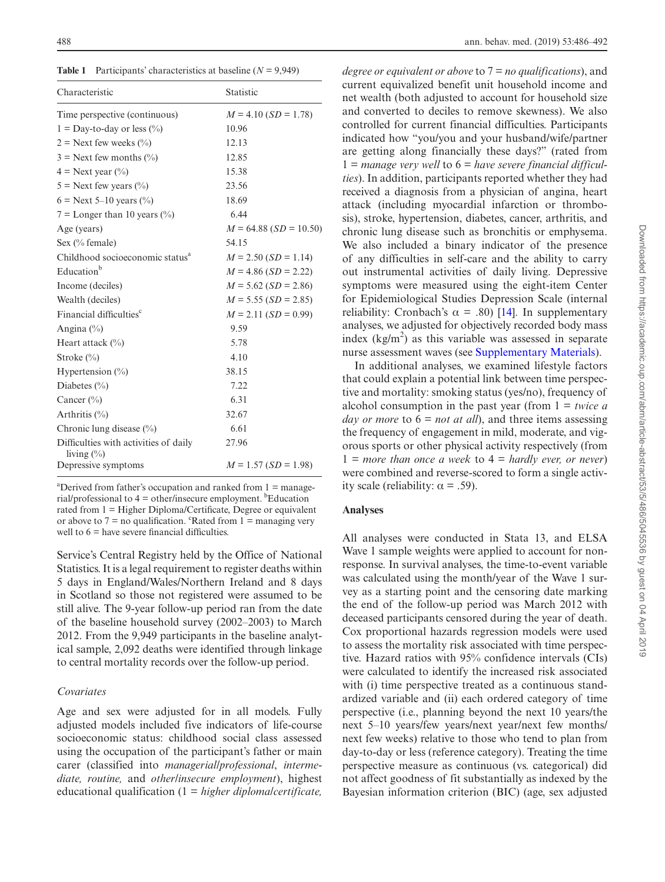<span id="page-2-0"></span>**Table 1** Participants' characteristics at baseline (*N* = 9,949)

| Characteristic                                          | Statistic                |  |  |
|---------------------------------------------------------|--------------------------|--|--|
| Time perspective (continuous)                           | $M = 4.10$ (SD = 1.78)   |  |  |
| $1 =$ Day-to-day or less $(\%)$                         | 10.96                    |  |  |
| $2 =$ Next few weeks $(\%$                              | 12.13                    |  |  |
| $3$ = Next few months $(\%$ )                           | 12.85                    |  |  |
| $4 =$ Next year $(\% )$                                 | 15.38                    |  |  |
| $5 =$ Next few years $(\%$                              | 23.56                    |  |  |
| $6$ = Next 5–10 years (%)                               | 18.69                    |  |  |
| 7 = Longer than 10 years $(\%$                          | 6.44                     |  |  |
| Age (years)                                             | $M = 64.88$ (SD = 10.50) |  |  |
| Sex $(\%$ female)                                       | 54.15                    |  |  |
| Childhood socioeconomic status <sup>a</sup>             | $M = 2.50$ (SD = 1.14)   |  |  |
| Education <sup>b</sup>                                  | $M = 4.86$ (SD = 2.22)   |  |  |
| Income (deciles)                                        | $M = 5.62$ (SD = 2.86)   |  |  |
| Wealth (deciles)                                        | $M = 5.55$ (SD = 2.85)   |  |  |
| Financial difficulties <sup>c</sup>                     | $M = 2.11$ (SD = 0.99)   |  |  |
| Angina $(\% )$                                          | 9.59                     |  |  |
| Heart attack $(\%)$                                     | 5.78                     |  |  |
| Stroke $(\%$                                            | 4.10                     |  |  |
| Hypertension $(\%)$                                     | 38.15                    |  |  |
| Diabetes $(\% )$                                        | 7.22                     |  |  |
| Cancer (%)                                              | 6.31                     |  |  |
| Arthritis $(\%)$                                        | 32.67                    |  |  |
| Chronic lung disease $(\% )$                            | 6.61                     |  |  |
| Difficulties with activities of daily<br>living $(\% )$ | 27.96                    |  |  |
| Depressive symptoms                                     | $M = 1.57$ (SD = 1.98)   |  |  |

<sup>a</sup>Derived from father's occupation and ranked from  $1 =$  managerial/professional to  $4 =$  other/insecure employment. <sup>b</sup>Education rated from 1 = Higher Diploma/Certificate, Degree or equivalent or above to  $7 =$  no qualification. <sup>c</sup>Rated from  $1 =$  managing very well to  $6$  = have severe financial difficulties.

Service's Central Registry held by the Office of National Statistics. It is a legal requirement to register deaths within 5 days in England/Wales/Northern Ireland and 8 days in Scotland so those not registered were assumed to be still alive. The 9-year follow-up period ran from the date of the baseline household survey (2002–2003) to March 2012. From the 9,949 participants in the baseline analytical sample, 2,092 deaths were identified through linkage to central mortality records over the follow-up period.

#### *Covariates*

Age and sex were adjusted for in all models. Fully adjusted models included five indicators of life-course socioeconomic status: childhood social class assessed using the occupation of the participant's father or main carer (classified into *managerial/professional*, *intermediate, routine,* and *other/insecure employment*), highest educational qualification (1 = *higher diploma/certificate,* 

*degree or equivalent or above* to 7 = *no qualifications*), and current equivalized benefit unit household income and net wealth (both adjusted to account for household size and converted to deciles to remove skewness). We also controlled for current financial difficulties. Participants indicated how "you/you and your husband/wife/partner are getting along financially these days?" (rated from 1 = *manage very well* to 6 = *have severe financial difficulties*). In addition, participants reported whether they had received a diagnosis from a physician of angina, heart attack (including myocardial infarction or thrombosis), stroke, hypertension, diabetes, cancer, arthritis, and chronic lung disease such as bronchitis or emphysema. We also included a binary indicator of the presence of any difficulties in self-care and the ability to carry out instrumental activities of daily living. Depressive symptoms were measured using the eight-item Center for Epidemiological Studies Depression Scale (internal reliability: Cronbach's  $\alpha$  = .80) [[14\]](#page-6-10). In supplementary analyses, we adjusted for objectively recorded body mass index  $(kg/m<sup>2</sup>)$  as this variable was assessed in separate nurse assessment waves (see [Supplementary Materials](http://academic.oup.com/abm/article-lookup/doi/10.1093/abm/kay046#supplementary-data)).

In additional analyses, we examined lifestyle factors that could explain a potential link between time perspective and mortality: smoking status (yes/no), frequency of alcohol consumption in the past year (from 1 = *twice a day or more* to 6 = *not at all*), and three items assessing the frequency of engagement in mild, moderate, and vigorous sports or other physical activity respectively (from  $1 = more than once a week to 4 = hardly ever, or never)$ were combined and reverse-scored to form a single activity scale (reliability:  $\alpha = .59$ ).

#### **Analyses**

All analyses were conducted in Stata 13, and ELSA Wave 1 sample weights were applied to account for nonresponse. In survival analyses, the time-to-event variable was calculated using the month/year of the Wave 1 survey as a starting point and the censoring date marking the end of the follow-up period was March 2012 with deceased participants censored during the year of death. Cox proportional hazards regression models were used to assess the mortality risk associated with time perspective. Hazard ratios with 95% confidence intervals (CIs) were calculated to identify the increased risk associated with (i) time perspective treated as a continuous standardized variable and (ii) each ordered category of time perspective (i.e., planning beyond the next 10 years/the next 5–10 years/few years/next year/next few months/ next few weeks) relative to those who tend to plan from day-to-day or less (reference category). Treating the time perspective measure as continuous (vs. categorical) did not affect goodness of fit substantially as indexed by the Bayesian information criterion (BIC) (age, sex adjusted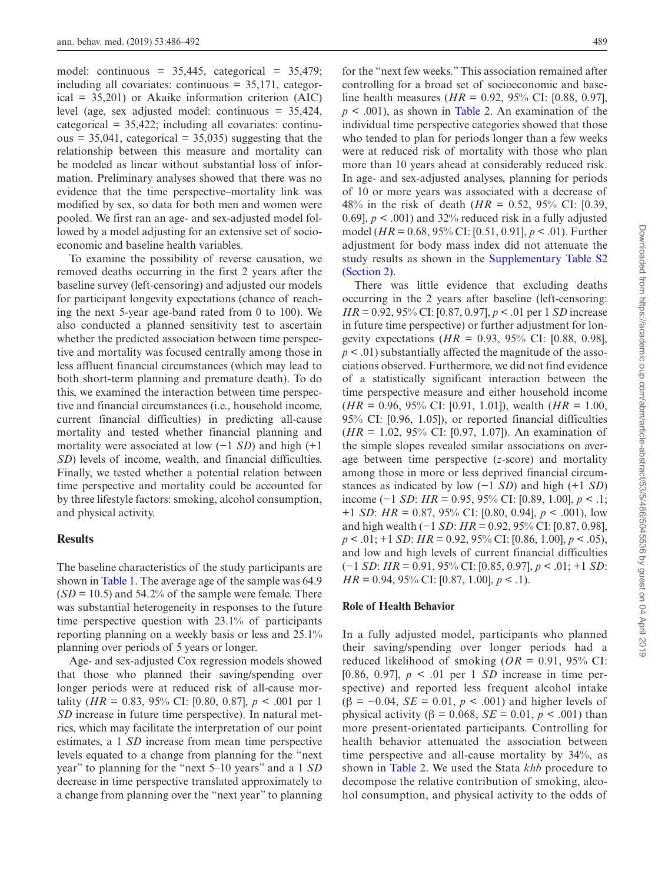model: continuous =  $35,445$ , categorical =  $35,479$ ; including all covariates: continuous  $= 35,171$ , categorical  $= 35,201$  or Akaike information criterion (AIC) level (age, sex adjusted model: continuous = 35,424,  $categorical = 35,422$ ; including all covariates: continu $ous = 35,041$ , categorical = 35,035) suggesting that the relationship between this measure and mortality can be modeled as linear without substantial loss of information. Preliminary analyses showed that there was no evidence that the time perspective–mortality link was modified by sex, so data for both men and women were pooled. We first ran an age- and sex-adjusted model followed by a model adjusting for an extensive set of socioeconomic and baseline health variables.

To examine the possibility of reverse causation, we removed deaths occurring in the first 2 years after the baseline survey (left-censoring) and adjusted our models for participant longevity expectations (chance of reaching the next 5-year age-band rated from 0 to 100). We also conducted a planned sensitivity test to ascertain whether the predicted association between time perspective and mortality was focused centrally among those in less affluent financial circumstances (which may lead to both short-term planning and premature death). To do this, we examined the interaction between time perspective and financial circumstances (i.e., household income, current financial difficulties) in predicting all-cause mortality and tested whether financial planning and mortality were associated at low (−1 *SD*) and high (+1 *SD*) levels of income, wealth, and financial difficulties. Finally, we tested whether a potential relation between time perspective and mortality could be accounted for by three lifestyle factors: smoking, alcohol consumption, and physical activity.

#### **Results**

The baseline characteristics of the study participants are shown in [Table 1.](#page-2-0) The average age of the sample was 64.9  $(SD = 10.5)$  and 54.2% of the sample were female. There was substantial heterogeneity in responses to the future time perspective question with 23.1% of participants reporting planning on a weekly basis or less and 25.1% planning over periods of 5 years or longer.

Age- and sex-adjusted Cox regression models showed that those who planned their saving/spending over longer periods were at reduced risk of all-cause mortality (*HR* = 0.83, 95% CI: [0.80, 0.87],  $p < .001$  per 1 *SD* increase in future time perspective). In natural metrics, which may facilitate the interpretation of our point estimates, a 1 *SD* increase from mean time perspective levels equated to a change from planning for the "next year" to planning for the "next 5–10 years" and a 1 *SD* decrease in time perspective translated approximately to a change from planning over the "next year" to planning

for the "next few weeks." This association remained after controlling for a broad set of socioeconomic and baseline health measures (*HR* = 0.92, 95% CI: [0.88, 0.97],  $p \leq 0.001$ , as shown in [Table 2.](#page-4-0) An examination of the individual time perspective categories showed that those who tended to plan for periods longer than a few weeks were at reduced risk of mortality with those who plan more than 10 years ahead at considerably reduced risk. In age- and sex-adjusted analyses, planning for periods of 10 or more years was associated with a decrease of 48% in the risk of death ( $HR = 0.52$ , 95% CI: [0.39, 0.69],  $p < .001$ ) and 32% reduced risk in a fully adjusted model (*HR* = 0.68, 95% CI: [0.51, 0.91], *p* < .01). Further adjustment for body mass index did not attenuate the study results as shown in the [Supplementary Table S2](http://academic.oup.com/abm/article-lookup/doi/10.1093/abm/kay046#supplementary-data) [\(Section 2\)](http://academic.oup.com/abm/article-lookup/doi/10.1093/abm/kay046#supplementary-data).

There was little evidence that excluding deaths occurring in the 2 years after baseline (left-censoring: *HR* = 0.92, 95% CI: [0.87, 0.97], *p* < .01 per 1 *SD* increase in future time perspective) or further adjustment for longevity expectations (*HR* = 0.93, 95% CI: [0.88, 0.98],  $p < .01$ ) substantially affected the magnitude of the associations observed. Furthermore, we did not find evidence of a statistically significant interaction between the time perspective measure and either household income (*HR* = 0.96, 95% CI: [0.91, 1.01]), wealth (*HR* = 1.00, 95% CI: [0.96, 1.05]), or reported financial difficulties (*HR* = 1.02, 95% CI: [0.97, 1.07]). An examination of the simple slopes revealed similar associations on average between time perspective (*z*-score) and mortality among those in more or less deprived financial circumstances as indicated by low (−1 *SD*) and high (+1 *SD*) income (−1 *SD*: *HR* = 0.95, 95% CI: [0.89, 1.00], *p* < .1; +1 *SD*: *HR* = 0.87, 95% CI: [0.80, 0.94], *p* < .001), low and high wealth (−1 *SD*: *HR* = 0.92, 95% CI: [0.87, 0.98], *p* < .01; +1 *SD*: *HR* = 0.92, 95% CI: [0.86, 1.00], *p* < .05), and low and high levels of current financial difficulties (−1 *SD*: *HR* = 0.91, 95% CI: [0.85, 0.97], *p* < .01; +1 *SD*: *HR* = 0.94, 95% CI: [0.87, 1.00], *p* < .1).

#### **Role of Health Behavior**

In a fully adjusted model, participants who planned their saving/spending over longer periods had a reduced likelihood of smoking ( $OR = 0.91$ , 95% CI: [0.86, 0.97], *p* < .01 per 1 *SD* increase in time perspective) and reported less frequent alcohol intake ( $\beta$  = -0.04, *SE* = 0.01, *p* < .001) and higher levels of physical activity (β = 0.068, *SE* = 0.01, *p* < .001) than more present-orientated participants. Controlling for health behavior attenuated the association between time perspective and all-cause mortality by 34%, as shown in [Table 2](#page-4-0). We used the Stata *khb* procedure to decompose the relative contribution of smoking, alcohol consumption, and physical activity to the odds of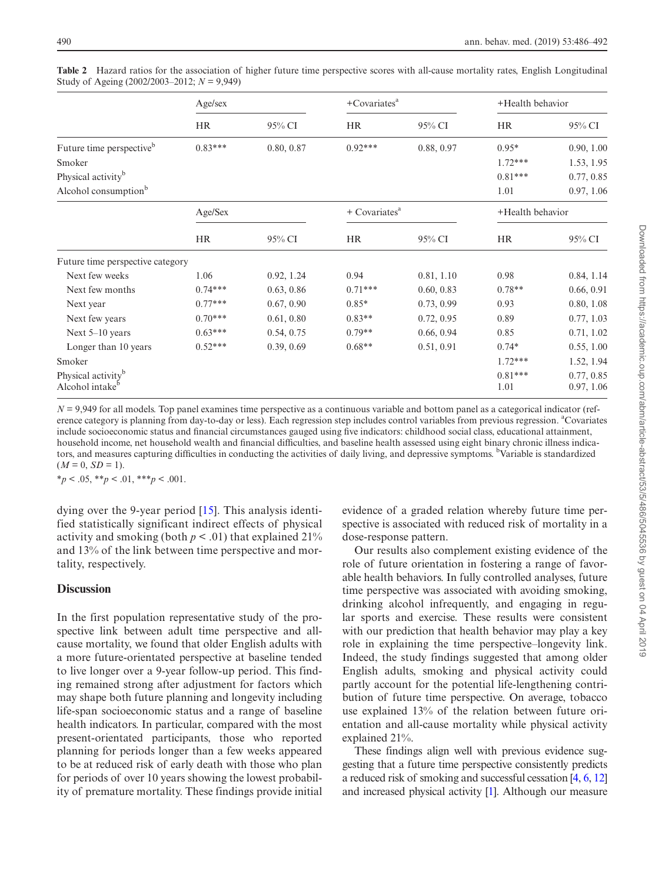|                                                               | Age/sex   |            | $+$ Covariates <sup>a</sup> |            | +Health behavior  |                          |
|---------------------------------------------------------------|-----------|------------|-----------------------------|------------|-------------------|--------------------------|
|                                                               | <b>HR</b> | 95% CI     | <b>HR</b>                   | 95% CI     | <b>HR</b>         | 95% CI                   |
| Future time perspective <sup>b</sup>                          | $0.83***$ | 0.80, 0.87 | $0.92***$                   | 0.88, 0.97 | $0.95*$           | 0.90, 1.00               |
| Smoker                                                        |           |            |                             |            | $1.72***$         | 1.53, 1.95               |
| Physical activity <sup>b</sup>                                |           |            |                             |            | $0.81***$         | 0.77, 0.85               |
| Alcohol consumption <sup>b</sup>                              |           |            |                             |            | 1.01              | 0.97, 1.06               |
|                                                               | Age/Sex   |            | $+$ Covariates <sup>a</sup> |            | +Health behavior  |                          |
|                                                               | <b>HR</b> | 95% CI     | <b>HR</b>                   | 95% CI     | <b>HR</b>         | 95% CI                   |
| Future time perspective category                              |           |            |                             |            |                   |                          |
| Next few weeks                                                | 1.06      | 0.92, 1.24 | 0.94                        | 0.81, 1.10 | 0.98              | 0.84, 1.14               |
| Next few months                                               | $0.74***$ | 0.63, 0.86 | $0.71***$                   | 0.60, 0.83 | $0.78**$          | 0.66, 0.91               |
| Next year                                                     | $0.77***$ | 0.67, 0.90 | $0.85*$                     | 0.73, 0.99 | 0.93              | 0.80, 1.08               |
| Next few years                                                | $0.70***$ | 0.61, 0.80 | $0.83**$                    | 0.72, 0.95 | 0.89              | 0.77, 1.03               |
| Next 5-10 years                                               | $0.63***$ | 0.54, 0.75 | $0.79**$                    | 0.66, 0.94 | 0.85              | 0.71, 1.02               |
| Longer than 10 years                                          | $0.52***$ | 0.39, 0.69 | $0.68**$                    | 0.51, 0.91 | $0.74*$           | 0.55, 1.00               |
| Smoker                                                        |           |            |                             |            | $1.72***$         | 1.52, 1.94               |
| Physical activity <sup>b</sup><br>Alcohol intake <sup>b</sup> |           |            |                             |            | $0.81***$<br>1.01 | 0.77, 0.85<br>0.97, 1.06 |

<span id="page-4-0"></span>**Table 2** Hazard ratios for the association of higher future time perspective scores with all-cause mortality rates, English Longitudinal Study of Ageing (2002/2003–2012; *N* = 9,949)

 $N = 9.949$  for all models. Top panel examines time perspective as a continuous variable and bottom panel as a categorical indicator (reference category is planning from day-to-day or less). Each regression step includes control variables from previous regression. <sup>a</sup>Covariates include socioeconomic status and financial circumstances gauged using five indicators: childhood social class, educational attainment, household income, net household wealth and financial difficulties, and baseline health assessed using eight binary chronic illness indicators, and measures capturing difficulties in conducting the activities of daily living, and depressive symptoms. <sup>b</sup>Variable is standardized  $(M = 0, SD = 1).$ 

\**p* < .05, \*\**p* < .01, \*\*\**p* < .001.

dying over the 9-year period [\[15\]](#page-6-11). This analysis identified statistically significant indirect effects of physical activity and smoking (both  $p < .01$ ) that explained 21% and 13% of the link between time perspective and mortality, respectively.

# **Discussion**

In the first population representative study of the prospective link between adult time perspective and allcause mortality, we found that older English adults with a more future-orientated perspective at baseline tended to live longer over a 9-year follow-up period. This finding remained strong after adjustment for factors which may shape both future planning and longevity including life-span socioeconomic status and a range of baseline health indicators. In particular, compared with the most present-orientated participants, those who reported planning for periods longer than a few weeks appeared to be at reduced risk of early death with those who plan for periods of over 10 years showing the lowest probability of premature mortality. These findings provide initial evidence of a graded relation whereby future time perspective is associated with reduced risk of mortality in a dose-response pattern.

Our results also complement existing evidence of the role of future orientation in fostering a range of favorable health behaviors. In fully controlled analyses, future time perspective was associated with avoiding smoking, drinking alcohol infrequently, and engaging in regular sports and exercise. These results were consistent with our prediction that health behavior may play a key role in explaining the time perspective–longevity link. Indeed, the study findings suggested that among older English adults, smoking and physical activity could partly account for the potential life-lengthening contribution of future time perspective. On average, tobacco use explained 13% of the relation between future orientation and all-cause mortality while physical activity explained 21%.

These findings align well with previous evidence suggesting that a future time perspective consistently predicts a reduced risk of smoking and successful cessation [\[4](#page-6-2), [6](#page-6-12), [12\]](#page-6-8) and increased physical activity [\[1](#page-5-0)]. Although our measure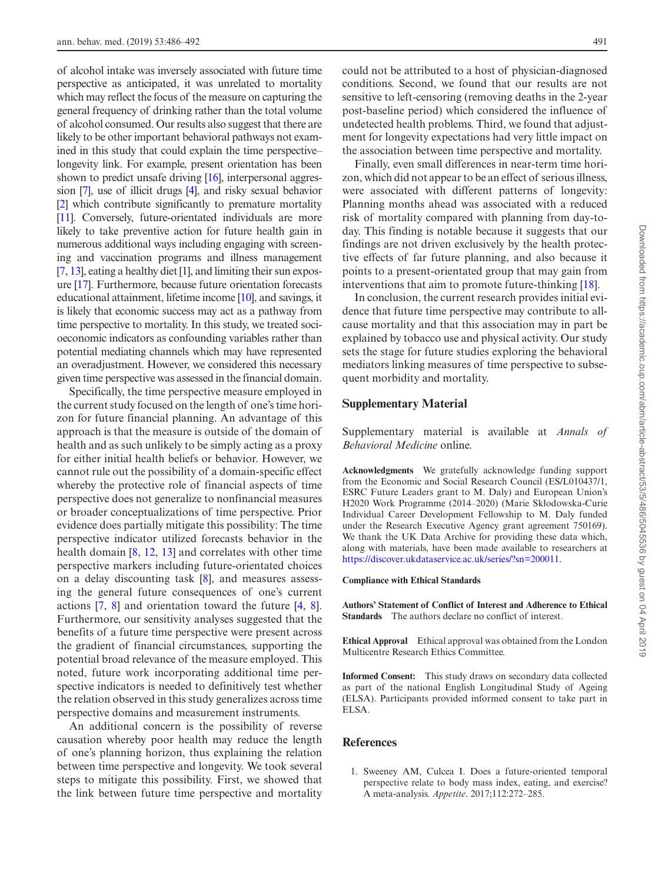of alcohol intake was inversely associated with future time perspective as anticipated, it was unrelated to mortality which may reflect the focus of the measure on capturing the general frequency of drinking rather than the total volume of alcohol consumed. Our results also suggest that there are likely to be other important behavioral pathways not examined in this study that could explain the time perspective– longevity link. For example, present orientation has been shown to predict unsafe driving [\[16\]](#page-6-13), interpersonal aggression [\[7\]](#page-6-14), use of illicit drugs [\[4\]](#page-6-2), and risky sexual behavior [[2](#page-6-0)] which contribute significantly to premature mortality [[11](#page-6-7)]. Conversely, future-orientated individuals are more likely to take preventive action for future health gain in numerous additional ways including engaging with screening and vaccination programs and illness management [[7](#page-6-14), [13](#page-6-9)], eating a healthy diet [\[1\]](#page-5-0), and limiting their sun exposure [\[17\]](#page-6-15). Furthermore, because future orientation forecasts educational attainment, lifetime income [\[10](#page-6-6)], and savings, it is likely that economic success may act as a pathway from time perspective to mortality. In this study, we treated socioeconomic indicators as confounding variables rather than potential mediating channels which may have represented an overadjustment. However, we considered this necessary given time perspective was assessed in the financial domain.

Specifically, the time perspective measure employed in the current study focused on the length of one's time horizon for future financial planning. An advantage of this approach is that the measure is outside of the domain of health and as such unlikely to be simply acting as a proxy for either initial health beliefs or behavior. However, we cannot rule out the possibility of a domain-specific effect whereby the protective role of financial aspects of time perspective does not generalize to nonfinancial measures or broader conceptualizations of time perspective. Prior evidence does partially mitigate this possibility: The time perspective indicator utilized forecasts behavior in the health domain [\[8](#page-6-4), [12](#page-6-8), [13\]](#page-6-9) and correlates with other time perspective markers including future-orientated choices on a delay discounting task [[8\]](#page-6-4), and measures assessing the general future consequences of one's current actions [\[7](#page-6-14), [8\]](#page-6-4) and orientation toward the future [\[4](#page-6-2), [8](#page-6-4)]. Furthermore, our sensitivity analyses suggested that the benefits of a future time perspective were present across the gradient of financial circumstances, supporting the potential broad relevance of the measure employed. This noted, future work incorporating additional time perspective indicators is needed to definitively test whether the relation observed in this study generalizes across time perspective domains and measurement instruments.

An additional concern is the possibility of reverse causation whereby poor health may reduce the length of one's planning horizon, thus explaining the relation between time perspective and longevity. We took several steps to mitigate this possibility. First, we showed that the link between future time perspective and mortality could not be attributed to a host of physician-diagnosed conditions. Second, we found that our results are not sensitive to left-censoring (removing deaths in the 2-year post-baseline period) which considered the influence of undetected health problems. Third, we found that adjustment for longevity expectations had very little impact on the association between time perspective and mortality.

Finally, even small differences in near-term time horizon, which did not appear to be an effect of serious illness, were associated with different patterns of longevity: Planning months ahead was associated with a reduced risk of mortality compared with planning from day-today. This finding is notable because it suggests that our findings are not driven exclusively by the health protective effects of far future planning, and also because it points to a present-orientated group that may gain from interventions that aim to promote future-thinking [\[18](#page-6-16)].

In conclusion, the current research provides initial evidence that future time perspective may contribute to allcause mortality and that this association may in part be explained by tobacco use and physical activity. Our study sets the stage for future studies exploring the behavioral mediators linking measures of time perspective to subsequent morbidity and mortality.

#### **Supplementary Material**

Supplementary material is available at *Annals of Behavioral Medicine* online.

**Acknowledgments** We gratefully acknowledge funding support from the Economic and Social Research Council (ES/L010437/1, ESRC Future Leaders grant to M. Daly) and European Union's H2020 Work Programme (2014–2020) (Marie Skłodowska-Curie Individual Career Development Fellowship to M. Daly funded under the Research Executive Agency grant agreement 750169). We thank the UK Data Archive for providing these data which, along with materials, have been made available to researchers at [https://discover.ukdataservice.ac.uk/series/?sn=200011.](https://discover.ukdataservice.ac.uk/series/?sn=200011)

#### **Compliance with Ethical Standards**

**Authors' Statement of Conflict of Interest and Adherence to Ethical Standards** The authors declare no conflict of interest.

**Ethical Approval** Ethical approval was obtained from the London Multicentre Research Ethics Committee.

**Informed Consent:** This study draws on secondary data collected as part of the national English Longitudinal Study of Ageing (ELSA). Participants provided informed consent to take part in ELSA.

# **References**

<span id="page-5-0"></span>1. Sweeney AM, Culcea I. Does a future-oriented temporal perspective relate to body mass index, eating, and exercise? A meta-analysis. *Appetite*. 2017;112:272–285.